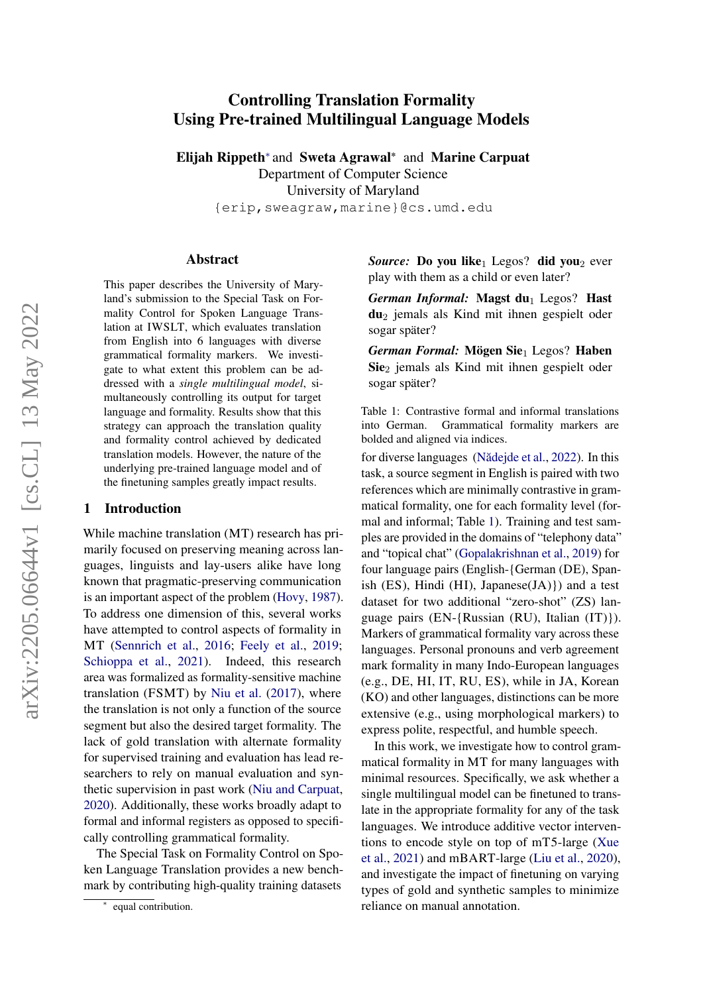# arXiv:2205.06644v1 [cs.CL] 13 May 2022 arXiv:2205.06644v1 [cs.CL] 13 May 2022

# Controlling Translation Formality Using Pre-trained Multilingual Language Models

Elijah Rippeth<sup>∗</sup> and Sweta Agrawal\* and Marine Carpuat Department of Computer Science University of Maryland {erip,sweagraw,marine}@cs.umd.edu

#### Abstract

This paper describes the University of Maryland's submission to the Special Task on Formality Control for Spoken Language Translation at IWSLT, which evaluates translation from English into 6 languages with diverse grammatical formality markers. We investigate to what extent this problem can be addressed with a *single multilingual model*, simultaneously controlling its output for target language and formality. Results show that this strategy can approach the translation quality and formality control achieved by dedicated translation models. However, the nature of the underlying pre-trained language model and of the finetuning samples greatly impact results.

#### 1 Introduction

While machine translation (MT) research has primarily focused on preserving meaning across languages, linguists and lay-users alike have long known that pragmatic-preserving communication is an important aspect of the problem [\(Hovy,](#page-9-0) [1987\)](#page-9-0). To address one dimension of this, several works have attempted to control aspects of formality in MT [\(Sennrich et al.,](#page-9-1) [2016;](#page-9-1) [Feely et al.,](#page-8-0) [2019;](#page-8-0) [Schioppa et al.,](#page-9-2) [2021\)](#page-9-2). Indeed, this research area was formalized as formality-sensitive machine translation (FSMT) by [Niu et al.](#page-9-3) [\(2017\)](#page-9-3), where the translation is not only a function of the source segment but also the desired target formality. The lack of gold translation with alternate formality for supervised training and evaluation has lead researchers to rely on manual evaluation and synthetic supervision in past work [\(Niu and Carpuat,](#page-9-4) [2020\)](#page-9-4). Additionally, these works broadly adapt to formal and informal registers as opposed to specifically controlling grammatical formality.

The Special Task on Formality Control on Spoken Language Translation provides a new benchmark by contributing high-quality training datasets

<span id="page-0-0"></span>*Source:* Do you like<sub>1</sub> Legos? did you<sub>2</sub> ever play with them as a child or even later?

*German Informal:* Magst du<sub>1</sub> Legos? Hast du<sup>2</sup> jemals als Kind mit ihnen gespielt oder sogar später?

*German Formal:* Mögen Sie<sub>1</sub> Legos? Haben Sie<sub>2</sub> jemals als Kind mit ihnen gespielt oder sogar später?

Table 1: Contrastive formal and informal translations into German. Grammatical formality markers are bolded and aligned via indices.

for diverse languages (Nădejde et al., [2022\)](#page-9-5). In this task, a source segment in English is paired with two references which are minimally contrastive in grammatical formality, one for each formality level (formal and informal; Table [1\)](#page-0-0). Training and test samples are provided in the domains of "telephony data" and "topical chat" [\(Gopalakrishnan et al.,](#page-8-1) [2019\)](#page-8-1) for four language pairs (English-{German (DE), Spanish  $(ES)$ , Hindi  $(HI)$ , Japanese $(JA)$ }) and a test dataset for two additional "zero-shot" (ZS) language pairs (EN-{Russian (RU), Italian (IT)}). Markers of grammatical formality vary across these languages. Personal pronouns and verb agreement mark formality in many Indo-European languages (e.g., DE, HI, IT, RU, ES), while in JA, Korean (KO) and other languages, distinctions can be more extensive (e.g., using morphological markers) to express polite, respectful, and humble speech.

In this work, we investigate how to control grammatical formality in MT for many languages with minimal resources. Specifically, we ask whether a single multilingual model can be finetuned to translate in the appropriate formality for any of the task languages. We introduce additive vector interventions to encode style on top of mT5-large [\(Xue](#page-10-0) [et al.,](#page-10-0) [2021\)](#page-10-0) and mBART-large [\(Liu et al.,](#page-9-6) [2020\)](#page-9-6), and investigate the impact of finetuning on varying types of gold and synthetic samples to minimize reliance on manual annotation.

<sup>∗</sup> equal contribution.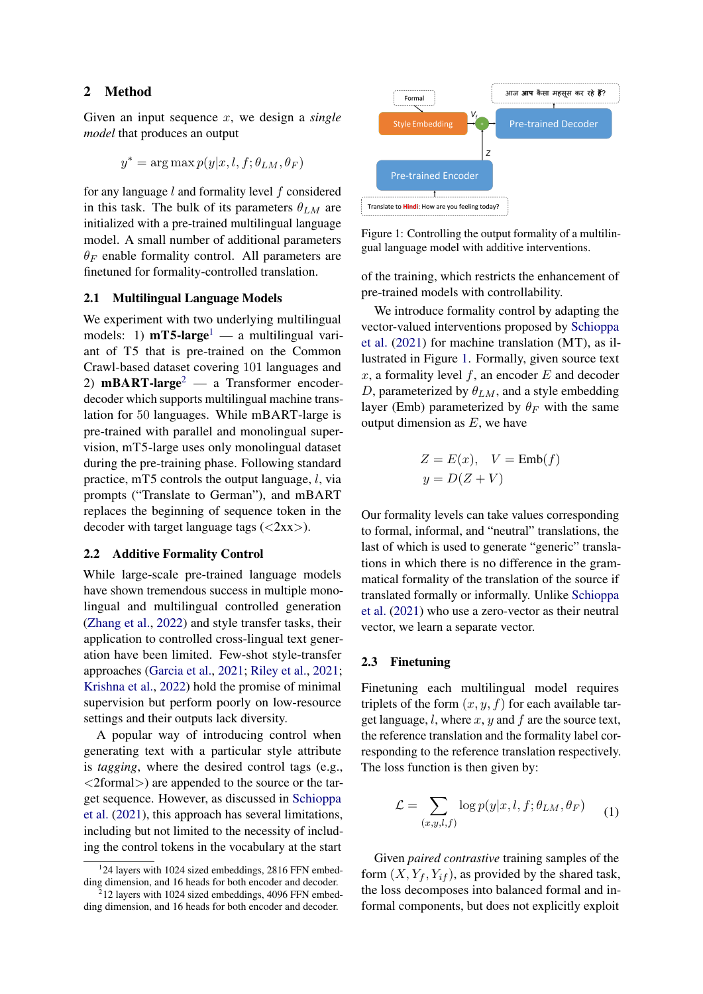## 2 Method

Given an input sequence x, we design a *single model* that produces an output

$$
y^* = \arg \max p(y|x, l, f; \theta_{LM}, \theta_F)
$$

for any language l and formality level f considered in this task. The bulk of its parameters  $\theta_{LM}$  are initialized with a pre-trained multilingual language model. A small number of additional parameters  $\theta_F$  enable formality control. All parameters are finetuned for formality-controlled translation.

#### 2.1 Multilingual Language Models

We experiment with two underlying multilingual models: [1](#page-1-0))  $mT5$ -large<sup>1</sup> — a multilingual variant of T5 that is pre-trained on the Common Crawl-based dataset covering 101 languages and [2](#page-1-1))  $mBART-large<sup>2</sup>$  — a Transformer encoderdecoder which supports multilingual machine translation for 50 languages. While mBART-large is pre-trained with parallel and monolingual supervision, mT5-large uses only monolingual dataset during the pre-training phase. Following standard practice, mT5 controls the output language,  $l$ , via prompts ("Translate to German"), and mBART replaces the beginning of sequence token in the decoder with target language tags  $( $2xx$ ).$ 

#### 2.2 Additive Formality Control

While large-scale pre-trained language models have shown tremendous success in multiple monolingual and multilingual controlled generation [\(Zhang et al.,](#page-10-1) [2022\)](#page-10-1) and style transfer tasks, their application to controlled cross-lingual text generation have been limited. Few-shot style-transfer approaches [\(Garcia et al.,](#page-8-2) [2021;](#page-8-2) [Riley et al.,](#page-9-7) [2021;](#page-9-7) [Krishna et al.,](#page-9-8) [2022\)](#page-9-8) hold the promise of minimal supervision but perform poorly on low-resource settings and their outputs lack diversity.

A popular way of introducing control when generating text with a particular style attribute is *tagging*, where the desired control tags (e.g., <2formal>) are appended to the source or the target sequence. However, as discussed in [Schioppa](#page-9-2) [et al.](#page-9-2) [\(2021\)](#page-9-2), this approach has several limitations, including but not limited to the necessity of including the control tokens in the vocabulary at the start

<span id="page-1-2"></span>



of the training, which restricts the enhancement of pre-trained models with controllability.

We introduce formality control by adapting the vector-valued interventions proposed by [Schioppa](#page-9-2) [et al.](#page-9-2) [\(2021\)](#page-9-2) for machine translation (MT), as illustrated in Figure [1.](#page-1-2) Formally, given source text  $x$ , a formality level  $f$ , an encoder  $E$  and decoder D, parameterized by  $\theta_{LM}$ , and a style embedding layer (Emb) parameterized by  $\theta_F$  with the same output dimension as  $E$ , we have

$$
Z = E(x), \quad V = \text{Emb}(f)
$$

$$
y = D(Z + V)
$$

Our formality levels can take values corresponding to formal, informal, and "neutral" translations, the last of which is used to generate "generic" translations in which there is no difference in the grammatical formality of the translation of the source if translated formally or informally. Unlike [Schioppa](#page-9-2) [et al.](#page-9-2) [\(2021\)](#page-9-2) who use a zero-vector as their neutral vector, we learn a separate vector.

#### 2.3 Finetuning

Finetuning each multilingual model requires triplets of the form  $(x, y, f)$  for each available target language,  $l$ , where  $x$ ,  $y$  and  $f$  are the source text, the reference translation and the formality label corresponding to the reference translation respectively. The loss function is then given by:

$$
\mathcal{L} = \sum_{(x,y,l,f)} \log p(y|x,l,f;\theta_{LM},\theta_F) \tag{1}
$$

Given *paired contrastive* training samples of the form  $(X, Y_f, Y_{if})$ , as provided by the shared task, the loss decomposes into balanced formal and informal components, but does not explicitly exploit

<span id="page-1-0"></span><sup>&</sup>lt;sup>1</sup>24 layers with 1024 sized embeddings, 2816 FFN embedding dimension, and 16 heads for both encoder and decoder.<br><sup>2</sup>12 layers with 1024 sized embeddings 4096 EEN embed

<span id="page-1-1"></span><sup>12</sup> layers with 1024 sized embeddings, 4096 FFN embedding dimension, and 16 heads for both encoder and decoder.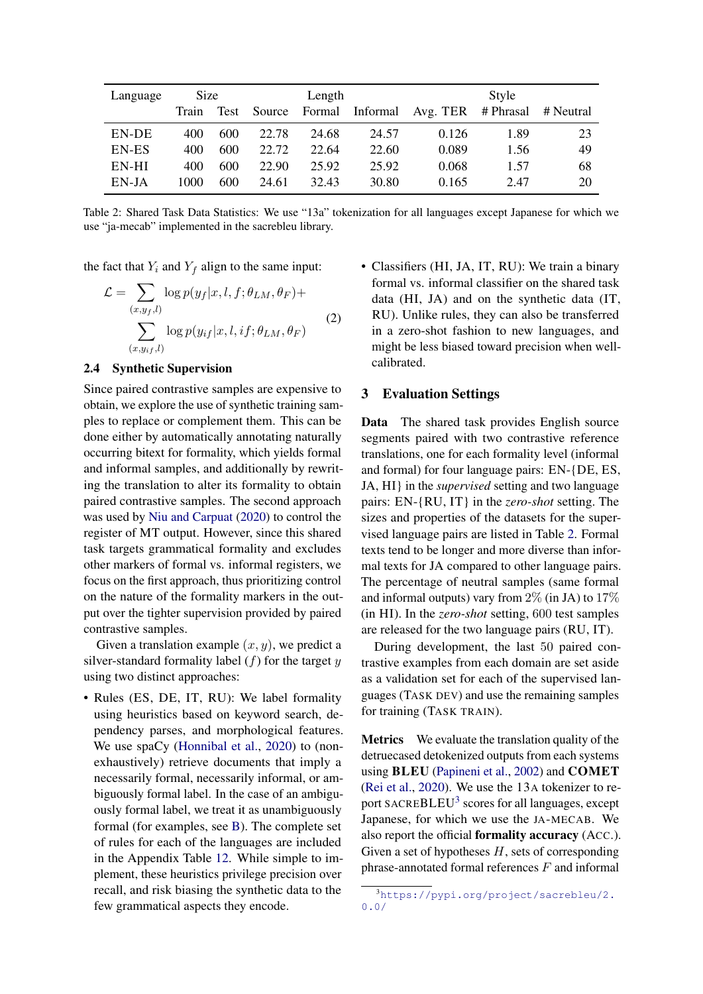<span id="page-2-0"></span>

| Language | <b>Size</b> |      |        | Length |          | Style              |      |           |  |  |
|----------|-------------|------|--------|--------|----------|--------------------|------|-----------|--|--|
|          | Train       | Test | Source | Formal | Informal | Avg. TER # Phrasal |      | # Neutral |  |  |
| EN-DE    | 400         | 600  | 22.78  | 24.68  | 24.57    | 0.126              | 1.89 | 23        |  |  |
| EN-ES    | 400         | 600  | 22.72  | 22.64  | 22.60    | 0.089              | 1.56 | 49        |  |  |
| EN-HI    | 400         | 600  | 22.90  | 25.92  | 25.92    | 0.068              | 1.57 | 68        |  |  |
| EN-JA    | 1000        | 600  | 24.61  | 32.43  | 30.80    | 0.165              | 2.47 | 20        |  |  |

Table 2: Shared Task Data Statistics: We use "13a" tokenization for all languages except Japanese for which we use "ja-mecab" implemented in the sacrebleu library.

the fact that  $Y_i$  and  $Y_f$  align to the same input:

$$
\mathcal{L} = \sum_{(x,y_f,l)} \log p(y_f|x,l,f;\theta_{LM},\theta_F) + \sum_{(x,y_{if},l)} \log p(y_{if}|x,l,if;\theta_{LM},\theta_F)
$$
(2)

## <span id="page-2-2"></span>2.4 Synthetic Supervision

Since paired contrastive samples are expensive to obtain, we explore the use of synthetic training samples to replace or complement them. This can be done either by automatically annotating naturally occurring bitext for formality, which yields formal and informal samples, and additionally by rewriting the translation to alter its formality to obtain paired contrastive samples. The second approach was used by [Niu and Carpuat](#page-9-4) [\(2020\)](#page-9-4) to control the register of MT output. However, since this shared task targets grammatical formality and excludes other markers of formal vs. informal registers, we focus on the first approach, thus prioritizing control on the nature of the formality markers in the output over the tighter supervision provided by paired contrastive samples.

Given a translation example  $(x, y)$ , we predict a silver-standard formality label  $(f)$  for the target  $y$ using two distinct approaches:

• Rules (ES, DE, IT, RU): We label formality using heuristics based on keyword search, dependency parses, and morphological features. We use spaCy [\(Honnibal et al.,](#page-8-3) [2020\)](#page-8-3) to (nonexhaustively) retrieve documents that imply a necessarily formal, necessarily informal, or ambiguously formal label. In the case of an ambiguously formal label, we treat it as unambiguously formal (for examples, see [B\)](#page-11-0). The complete set of rules for each of the languages are included in the Appendix Table [12.](#page-11-1) While simple to implement, these heuristics privilege precision over recall, and risk biasing the synthetic data to the few grammatical aspects they encode.

• Classifiers (HI, JA, IT, RU): We train a binary formal vs. informal classifier on the shared task data (HI, JA) and on the synthetic data (IT, RU). Unlike rules, they can also be transferred in a zero-shot fashion to new languages, and might be less biased toward precision when wellcalibrated.

#### 3 Evaluation Settings

Data The shared task provides English source segments paired with two contrastive reference translations, one for each formality level (informal and formal) for four language pairs: EN-{DE, ES, JA, HI} in the *supervised* setting and two language pairs: EN-{RU, IT} in the *zero-shot* setting. The sizes and properties of the datasets for the supervised language pairs are listed in Table [2.](#page-2-0) Formal texts tend to be longer and more diverse than informal texts for JA compared to other language pairs. The percentage of neutral samples (same formal and informal outputs) vary from  $2\%$  (in JA) to  $17\%$ (in HI). In the *zero-shot* setting, 600 test samples are released for the two language pairs (RU, IT).

During development, the last 50 paired contrastive examples from each domain are set aside as a validation set for each of the supervised languages (TASK DEV) and use the remaining samples for training (TASK TRAIN).

<span id="page-2-3"></span>Metrics We evaluate the translation quality of the detruecased detokenized outputs from each systems using BLEU [\(Papineni et al.,](#page-9-9) [2002\)](#page-9-9) and COMET [\(Rei et al.,](#page-9-10) [2020\)](#page-9-10). We use the 13A tokenizer to re-port SACREBLEU<sup>[3](#page-2-1)</sup> scores for all languages, except Japanese, for which we use the JA-MECAB. We also report the official formality accuracy (ACC.). Given a set of hypotheses  $H$ , sets of corresponding phrase-annotated formal references  $F$  and informal

<span id="page-2-1"></span><sup>3</sup>[https://pypi.org/project/sacrebleu/2.](https://pypi.org/project/sacrebleu/2.0.0/) [0.0/](https://pypi.org/project/sacrebleu/2.0.0/)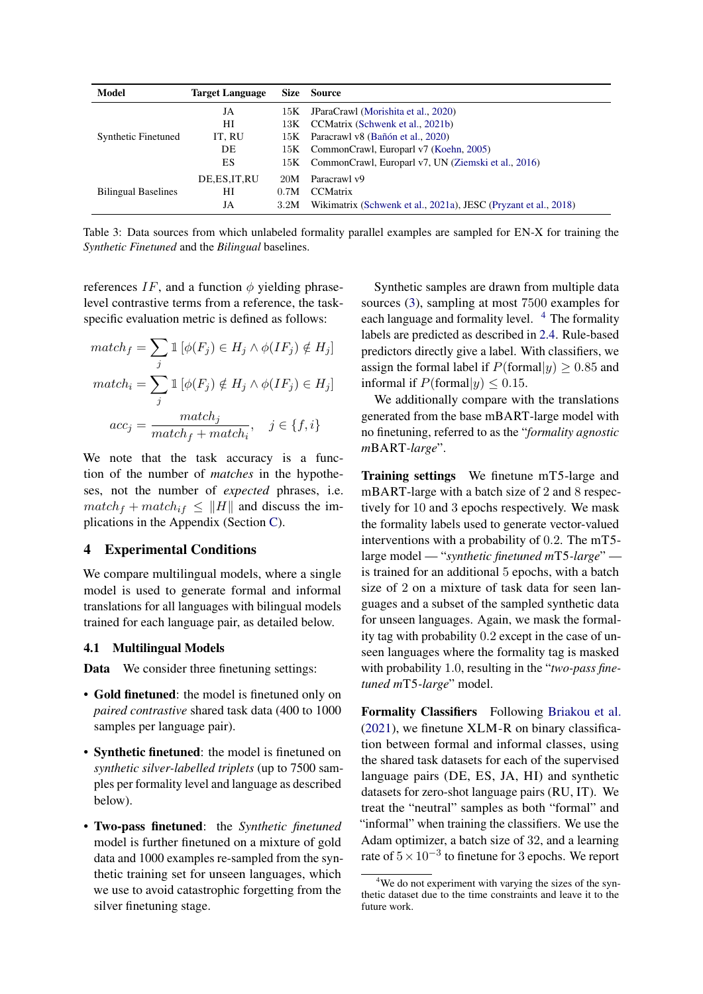<span id="page-3-0"></span>

| Model                      | <b>Target Language</b> | <b>Size</b> | Source                                                          |
|----------------------------|------------------------|-------------|-----------------------------------------------------------------|
|                            | JA                     |             | 15K JParaCrawl (Morishita et al., 2020)                         |
|                            | HІ                     | 13K -       | CCMatrix (Schwenk et al., 2021b)                                |
| <b>Synthetic Finetuned</b> | IT, RU                 |             | 15K Paracrawl v8 (Bañón et al., 2020)                           |
|                            | DE                     |             | 15K CommonCrawl, Europarl v7 (Koehn, 2005)                      |
|                            | ES                     |             | 15K CommonCrawl, Europarl v7, UN (Ziemski et al., 2016)         |
|                            | DE, ES, IT, RU         | 20M         | Paracrawl v9                                                    |
| <b>Bilingual Baselines</b> | НI                     | 0.7M        | <b>CCMatrix</b>                                                 |
|                            | JA                     | 3.2M        | Wikimatrix (Schwenk et al., 2021a), JESC (Pryzant et al., 2018) |

Table 3: Data sources from which unlabeled formality parallel examples are sampled for EN-X for training the *Synthetic Finetuned* and the *Bilingual* baselines.

references IF, and a function  $\phi$  yielding phraselevel contrastive terms from a reference, the taskspecific evaluation metric is defined as follows:

$$
match_f = \sum_{j} \mathbb{1} \left[ \phi(F_j) \in H_j \land \phi(IF_j) \notin H_j \right]
$$

$$
match_i = \sum_{j} \mathbb{1} \left[ \phi(F_j) \notin H_j \land \phi(IF_j) \in H_j \right]
$$

$$
acc_j = \frac{match_j}{match_f + match_i}, \quad j \in \{f, i\}
$$

We note that the task accuracy is a function of the number of *matches* in the hypotheses, not the number of *expected* phrases, i.e.  $match_f + match_{if} \leq ||H||$  and discuss the implications in the Appendix (Section [C\)](#page-11-2).

#### 4 Experimental Conditions

We compare multilingual models, where a single model is used to generate formal and informal translations for all languages with bilingual models trained for each language pair, as detailed below.

#### 4.1 Multilingual Models

Data We consider three finetuning settings:

- Gold finetuned: the model is finetuned only on *paired contrastive* shared task data (400 to 1000 samples per language pair).
- Synthetic finetuned: the model is finetuned on *synthetic silver-labelled triplets* (up to 7500 samples per formality level and language as described below).
- Two-pass finetuned: the *Synthetic finetuned* model is further finetuned on a mixture of gold data and 1000 examples re-sampled from the synthetic training set for unseen languages, which we use to avoid catastrophic forgetting from the silver finetuning stage.

Synthetic samples are drawn from multiple data sources [\(3\)](#page-3-0), sampling at most 7500 examples for each language and formality level. <sup>[4](#page-3-1)</sup> The formality labels are predicted as described in [2.4.](#page-2-2) Rule-based predictors directly give a label. With classifiers, we assign the formal label if  $P(\text{formal}|y) > 0.85$  and informal if  $P(\text{formal}|y) \leq 0.15$ .

We additionally compare with the translations generated from the base mBART-large model with no finetuning, referred to as the "*formality agnostic m*BART*-large*".

Training settings We finetune mT5-large and mBART-large with a batch size of 2 and 8 respectively for 10 and 3 epochs respectively. We mask the formality labels used to generate vector-valued interventions with a probability of 0.2. The mT5 large model — "*synthetic finetuned m*T5*-large*" is trained for an additional 5 epochs, with a batch size of 2 on a mixture of task data for seen languages and a subset of the sampled synthetic data for unseen languages. Again, we mask the formality tag with probability 0.2 except in the case of unseen languages where the formality tag is masked with probability 1.0, resulting in the "*two-pass finetuned m*T5*-large*" model.

Formality Classifiers Following [Briakou et al.](#page-8-5) [\(2021\)](#page-8-5), we finetune XLM-R on binary classification between formal and informal classes, using the shared task datasets for each of the supervised language pairs (DE, ES, JA, HI) and synthetic datasets for zero-shot language pairs (RU, IT). We treat the "neutral" samples as both "formal" and "informal" when training the classifiers. We use the Adam optimizer, a batch size of 32, and a learning rate of  $5 \times 10^{-3}$  to finetune for 3 epochs. We report

<span id="page-3-1"></span><sup>&</sup>lt;sup>4</sup>We do not experiment with varying the sizes of the synthetic dataset due to the time constraints and leave it to the future work.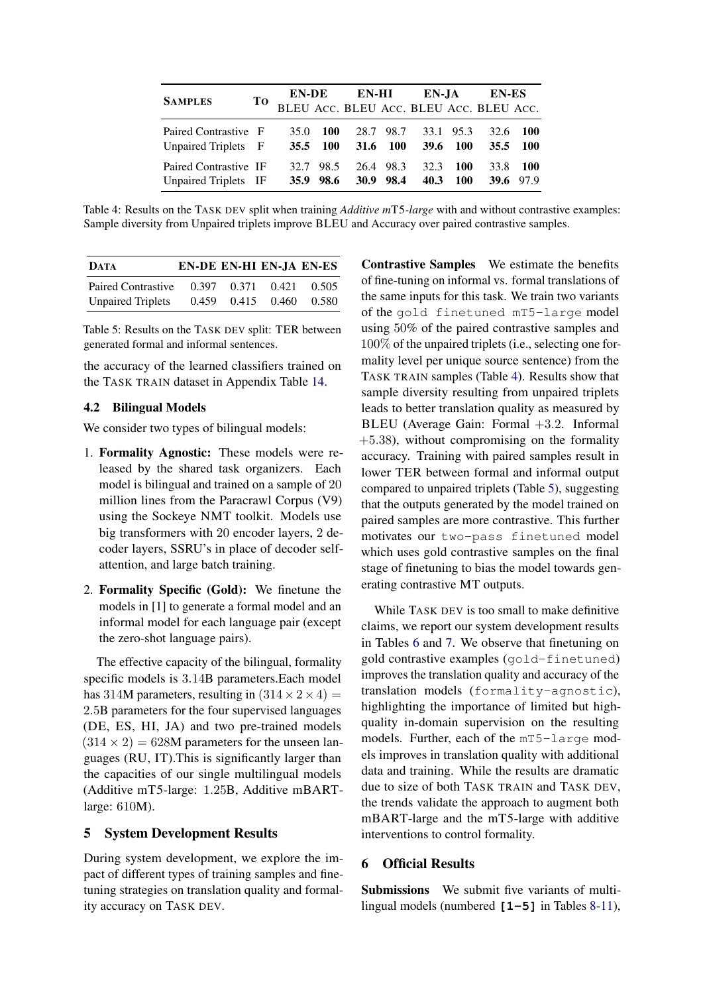<span id="page-4-0"></span>

| <b>SAMPLES</b>                                |  | TO EN-DE EN-HI EN-JA EN-ES<br>BLEU Acc. BLEU Acc. BLEU Acc. BLEU Acc. |            |  |                                                            |                   |          |                       |  |
|-----------------------------------------------|--|-----------------------------------------------------------------------|------------|--|------------------------------------------------------------|-------------------|----------|-----------------------|--|
|                                               |  |                                                                       |            |  |                                                            |                   |          |                       |  |
| Paired Contrastive F<br>Unpaired Triplets F   |  | 35.0                                                                  | <b>100</b> |  | 28.7 98.7 33.1 95.3<br>35.5 100 31.6 100 39.6 100 35.5 100 |                   | 32.6 100 |                       |  |
| Paired Contrastive IF<br>Unpaired Triplets IF |  |                                                                       | 32.7 98.5  |  | 26.4 98.3 32.3<br>35.9 98.6 30.9 98.4 40.3                 | <b>100</b><br>100 |          | 33.8 100<br>39.6 97.9 |  |

Table 4: Results on the TASK DEV split when training *Additive m*T5*-large* with and without contrastive examples: Sample diversity from Unpaired triplets improve BLEU and Accuracy over paired contrastive samples.

<span id="page-4-1"></span>

| <b>DATA</b>               | EN-DE EN-HI EN-JA EN-ES |       |       |       |
|---------------------------|-------------------------|-------|-------|-------|
| <b>Paired Contrastive</b> | 0.397                   | 0.371 | 0.421 | 0.505 |
| <b>Unpaired Triplets</b>  | 0.459                   | 0.415 | 0.460 | 0.580 |

Table 5: Results on the TASK DEV split: TER between generated formal and informal sentences.

the accuracy of the learned classifiers trained on the TASK TRAIN dataset in Appendix Table [14.](#page-12-0)

#### 4.2 Bilingual Models

We consider two types of bilingual models:

- 1. Formality Agnostic: These models were released by the shared task organizers. Each model is bilingual and trained on a sample of 20 million lines from the Paracrawl Corpus (V9) using the Sockeye NMT toolkit. Models use big transformers with 20 encoder layers, 2 decoder layers, SSRU's in place of decoder selfattention, and large batch training.
- 2. Formality Specific (Gold): We finetune the models in [1] to generate a formal model and an informal model for each language pair (except the zero-shot language pairs).

The effective capacity of the bilingual, formality specific models is 3.14B parameters.Each model has 314M parameters, resulting in  $(314 \times 2 \times 4)$  = 2.5B parameters for the four supervised languages (DE, ES, HI, JA) and two pre-trained models  $(314 \times 2) = 628$ M parameters for the unseen languages (RU, IT).This is significantly larger than the capacities of our single multilingual models (Additive mT5-large: 1.25B, Additive mBARTlarge: 610M).

# 5 System Development Results

During system development, we explore the impact of different types of training samples and finetuning strategies on translation quality and formality accuracy on TASK DEV.

Contrastive Samples We estimate the benefits of fine-tuning on informal vs. formal translations of the same inputs for this task. We train two variants of the gold finetuned mT5-large model using 50% of the paired contrastive samples and 100% of the unpaired triplets (i.e., selecting one formality level per unique source sentence) from the TASK TRAIN samples (Table [4\)](#page-4-0). Results show that sample diversity resulting from unpaired triplets leads to better translation quality as measured by BLEU (Average Gain: Formal +3.2. Informal  $+5.38$ ), without compromising on the formality accuracy. Training with paired samples result in lower TER between formal and informal output compared to unpaired triplets (Table [5\)](#page-4-1), suggesting that the outputs generated by the model trained on paired samples are more contrastive. This further motivates our two-pass finetuned model which uses gold contrastive samples on the final stage of finetuning to bias the model towards generating contrastive MT outputs.

While TASK DEV is too small to make definitive claims, we report our system development results in Tables [6](#page-5-0) and [7.](#page-5-1) We observe that finetuning on gold contrastive examples (gold-finetuned) improves the translation quality and accuracy of the translation models (formality-agnostic), highlighting the importance of limited but highquality in-domain supervision on the resulting models. Further, each of the mT5-large models improves in translation quality with additional data and training. While the results are dramatic due to size of both TASK TRAIN and TASK DEV, the trends validate the approach to augment both mBART-large and the mT5-large with additive interventions to control formality.

#### 6 Official Results

Submissions We submit five variants of multilingual models (numbered **[1-5]** in Tables [8-](#page-6-0)[11\)](#page-7-0),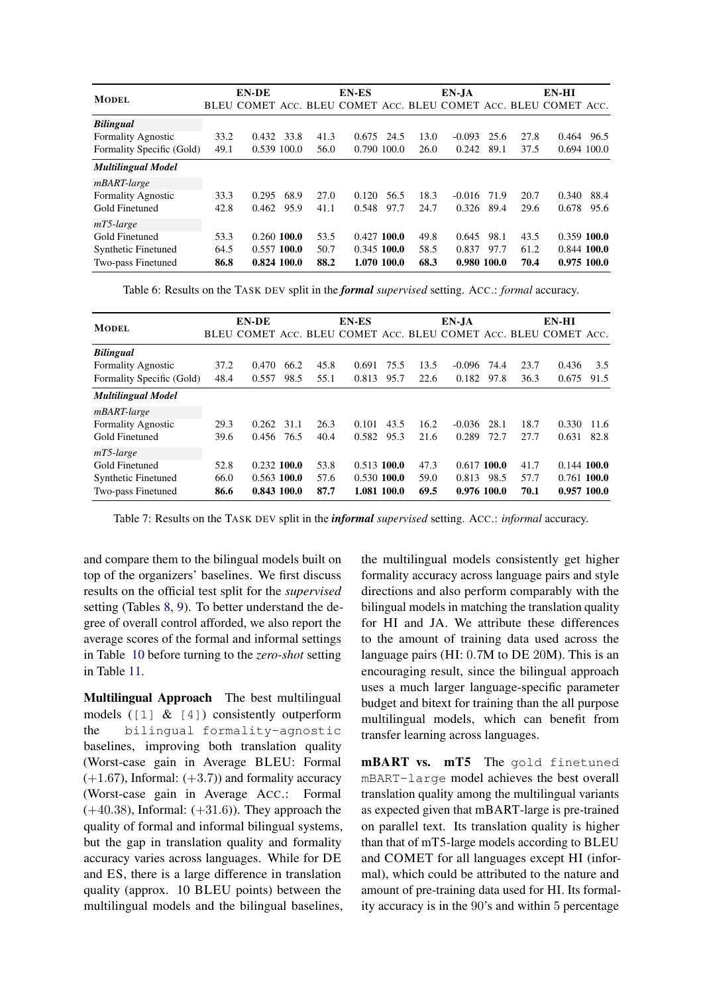<span id="page-5-0"></span>

| <b>MODEL</b>              |      | EN-DE                                                           |      |      | <b>EN-ES</b>  |      |      | EN-JA    |             |      | EN-HI         |               |
|---------------------------|------|-----------------------------------------------------------------|------|------|---------------|------|------|----------|-------------|------|---------------|---------------|
|                           |      | BLEU COMET ACC. BLEU COMET ACC. BLEU COMET ACC. BLEU COMET ACC. |      |      |               |      |      |          |             |      |               |               |
| <b>Bilingual</b>          |      |                                                                 |      |      |               |      |      |          |             |      |               |               |
| <b>Formality Agnostic</b> | 33.2 | 0.432                                                           | 33.8 | 41.3 | 0.675         | 24.5 | 13.0 | $-0.093$ | 25.6        | 27.8 | 0.464         | 96.5          |
| Formality Specific (Gold) | 49.1 | 0.539 100.0                                                     |      | 56.0 | 0.790 100.0   |      | 26.0 | 0.242    | 89.1        | 37.5 |               | $0.694$ 100.0 |
| <b>Multilingual Model</b> |      |                                                                 |      |      |               |      |      |          |             |      |               |               |
| mBART-large               |      |                                                                 |      |      |               |      |      |          |             |      |               |               |
| <b>Formality Agnostic</b> | 33.3 | 0.295                                                           | 68.9 | 27.0 | 0.120         | 56.5 | 18.3 | $-0.016$ | 71.9        | 20.7 | 0.340         | 88.4          |
| Gold Finetuned            | 42.8 | 0.462                                                           | 95.9 | 41.1 | 0.548         | 97.7 | 24.7 | 0.326    | 89.4        | 29.6 | 0.678         | 95.6          |
| $mT5$ -large              |      |                                                                 |      |      |               |      |      |          |             |      |               |               |
| Gold Finetuned            | 53.3 | $0.260$ 100.0                                                   |      | 53.5 | $0.427$ 100.0 |      | 49.8 | 0.645    | 98.1        | 43.5 | $0.359$ 100.0 |               |
| Synthetic Finetuned       | 64.5 | $0.557$ 100.0                                                   |      | 50.7 | $0.345$ 100.0 |      | 58.5 | 0.837    | 97.7        | 61.2 | $0.844$ 100.0 |               |
| Two-pass Finetuned        | 86.8 | 0.824 100.0                                                     |      | 88.2 | 1.070 100.0   |      | 68.3 |          | 0.980 100.0 | 70.4 |               | 0.975100.0    |

Table 6: Results on the TASK DEV split in the *formal supervised* setting. ACC.: *formal* accuracy.

<span id="page-5-1"></span>

| <b>MODEL</b>               |      | EN-DE                                                           |      |      | <b>EN-ES</b>  |      |      | EN-JA         |      |      | EN-HI         |      |
|----------------------------|------|-----------------------------------------------------------------|------|------|---------------|------|------|---------------|------|------|---------------|------|
|                            |      | BLEU COMET ACC. BLEU COMET ACC. BLEU COMET ACC. BLEU COMET ACC. |      |      |               |      |      |               |      |      |               |      |
| <b>Bilingual</b>           |      |                                                                 |      |      |               |      |      |               |      |      |               |      |
| <b>Formality Agnostic</b>  | 37.2 | 0.470                                                           | 66.2 | 45.8 | 0.691         | 75.5 | 13.5 | $-0.096$      | 74.4 | 23.7 | 0.436         | 3.5  |
| Formality Specific (Gold)  | 48.4 | 0.557                                                           | 98.5 | 55.1 | 0.813         | 95.7 | 22.6 | 0.182         | 97.8 | 36.3 | 0.675         | 91.5 |
| <b>Multilingual Model</b>  |      |                                                                 |      |      |               |      |      |               |      |      |               |      |
| mBART-large                |      |                                                                 |      |      |               |      |      |               |      |      |               |      |
| <b>Formality Agnostic</b>  | 29.3 | 0.262                                                           | 31.1 | 26.3 | 0.101         | 43.5 | 16.2 | $-0.036$      | 28.1 | 18.7 | 0.330         | 11.6 |
| Gold Finetuned             | 39.6 | 0.456                                                           | 76.5 | 40.4 | 0.582         | 95.3 | 21.6 | 0.289         | 72.7 | 27.7 | 0.631         | 82.8 |
| $mT5$ -large               |      |                                                                 |      |      |               |      |      |               |      |      |               |      |
| Gold Finetuned             | 52.8 | $0.232$ 100.0                                                   |      | 53.8 | $0.513$ 100.0 |      | 47.3 | $0.617$ 100.0 |      | 41.7 | $0.144$ 100.0 |      |
| <b>Synthetic Finetuned</b> | 66.0 | $0.563$ 100.0                                                   |      | 57.6 | $0.530$ 100.0 |      | 59.0 | 0.813         | 98.5 | 57.7 | $0.761$ 100.0 |      |
| Two-pass Finetuned         | 86.6 | 0.843 100.0                                                     |      | 87.7 | 1.081 100.0   |      | 69.5 | 0.976 100.0   |      | 70.1 | 0.957100.0    |      |

Table 7: Results on the TASK DEV split in the *informal supervised* setting. ACC.: *informal* accuracy.

and compare them to the bilingual models built on top of the organizers' baselines. We first discuss results on the official test split for the *supervised* setting (Tables [8,](#page-6-0) [9\)](#page-6-1). To better understand the degree of overall control afforded, we also report the average scores of the formal and informal settings in Table [10](#page-7-1) before turning to the *zero-shot* setting in Table [11.](#page-7-0)

Multilingual Approach The best multilingual models  $(1 \, 1 \, 8 \, 1)$  consistently outperform the bilingual formality-agnostic baselines, improving both translation quality (Worst-case gain in Average BLEU: Formal  $(+1.67)$ , Informal:  $(+3.7)$ ) and formality accuracy (Worst-case gain in Average ACC.: Formal  $(+40.38)$ , Informal:  $(+31.6)$ ). They approach the quality of formal and informal bilingual systems, but the gap in translation quality and formality accuracy varies across languages. While for DE and ES, there is a large difference in translation quality (approx. 10 BLEU points) between the multilingual models and the bilingual baselines, the multilingual models consistently get higher formality accuracy across language pairs and style directions and also perform comparably with the bilingual models in matching the translation quality for HI and JA. We attribute these differences to the amount of training data used across the language pairs (HI: 0.7M to DE 20M). This is an encouraging result, since the bilingual approach uses a much larger language-specific parameter budget and bitext for training than the all purpose multilingual models, which can benefit from transfer learning across languages.

mBART vs. mT5 The gold finetuned mBART-large model achieves the best overall translation quality among the multilingual variants as expected given that mBART-large is pre-trained on parallel text. Its translation quality is higher than that of mT5-large models according to BLEU and COMET for all languages except HI (informal), which could be attributed to the nature and amount of pre-training data used for HI. Its formality accuracy is in the 90's and within 5 percentage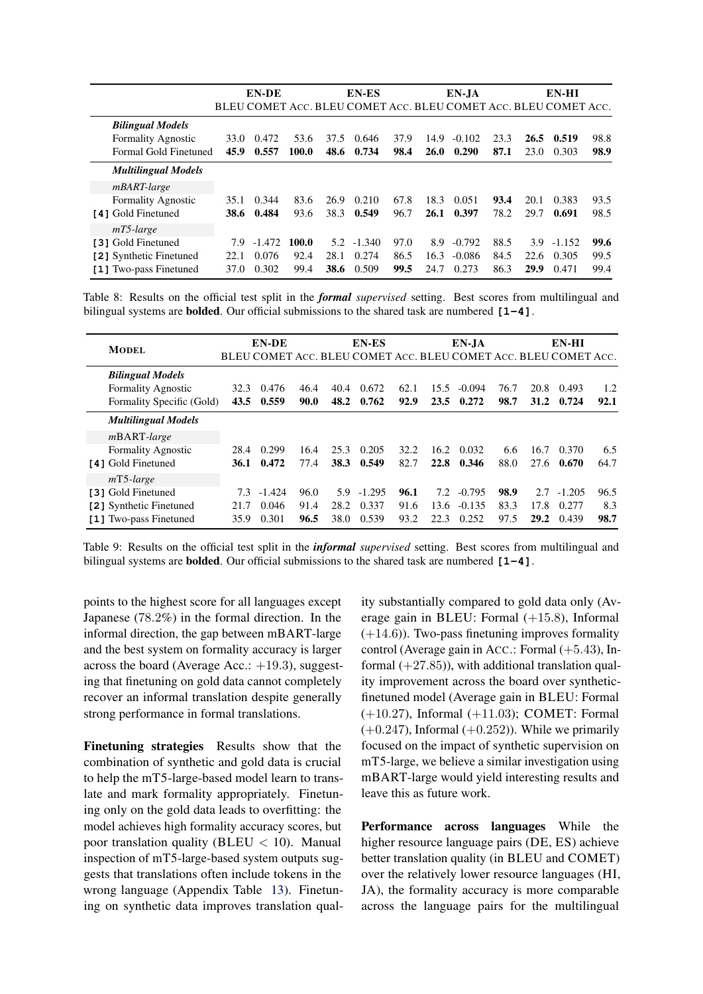<span id="page-6-0"></span>

|                            |             | <b>EN-DE</b> |       |      | EN-ES    |      |             | EN-JA                                                           |      |      | EN-HI    |      |
|----------------------------|-------------|--------------|-------|------|----------|------|-------------|-----------------------------------------------------------------|------|------|----------|------|
|                            |             |              |       |      |          |      |             | BLEU COMET ACC. BLEU COMET ACC. BLEU COMET ACC. BLEU COMET ACC. |      |      |          |      |
| <b>Bilingual Models</b>    |             |              |       |      |          |      |             |                                                                 |      |      |          |      |
| <b>Formality Agnostic</b>  | 33.0        | 0.472        | 53.6  | 37.5 | 0.646    | 37.9 | 14.9        | $-0.102$                                                        | 23.3 | 26.5 | 0.519    | 98.8 |
| Formal Gold Finetuned      | 45.9        | 0.557        | 100.0 | 48.6 | 0.734    | 98.4 | <b>26.0</b> | 0.290                                                           | 87.1 | 23.0 | 0.303    | 98.9 |
| <b>Multilingual Models</b> |             |              |       |      |          |      |             |                                                                 |      |      |          |      |
| <i>mBART-large</i>         |             |              |       |      |          |      |             |                                                                 |      |      |          |      |
| <b>Formality Agnostic</b>  | 35.1        | 0.344        | 83.6  | 26.9 | 0.210    | 67.8 | 18.3        | 0.051                                                           | 93.4 | 20.1 | 0.383    | 93.5 |
| [4] Gold Finetuned         | <b>38.6</b> | 0.484        | 93.6  | 38.3 | 0.549    | 96.7 | 26.1        | 0.397                                                           | 78.2 | 29.7 | 0.691    | 98.5 |
| $mT5$ -large               |             |              |       |      |          |      |             |                                                                 |      |      |          |      |
| [3] Gold Finetuned         | 7.9         | $-1.472$     | 100.0 | 5.2  | $-1.340$ | 97.0 | 8.9         | $-0.792$                                                        | 88.5 | 3.9  | $-1.152$ | 99.6 |
| [2] Synthetic Finetuned    | 22.1        | 0.076        | 92.4  | 28.1 | 0.274    | 86.5 | 16.3        | $-0.086$                                                        | 84.5 | 22.6 | 0.305    | 99.5 |
| [1] Two-pass Finetuned     | 37.0        | 0.302        | 99.4  | 38.6 | 0.509    | 99.5 | 24.7        | 0.273                                                           | 86.3 | 29.9 | 0.471    | 99.4 |

Table 8: Results on the official test split in the *formal supervised* setting. Best scores from multilingual and bilingual systems are bolded. Our official submissions to the shared task are numbered **[1-4]**.

<span id="page-6-1"></span>

| <b>MODEL</b>               |      | EN-DE    |      |             | EN-ES    |      |      | EN-JA<br>BLEU COMET ACC. BLEU COMET ACC. BLEU COMET ACC. BLEU COMET ACC. |      |      | EN-HI    |      |
|----------------------------|------|----------|------|-------------|----------|------|------|--------------------------------------------------------------------------|------|------|----------|------|
| <b>Bilingual Models</b>    |      |          |      |             |          |      |      |                                                                          |      |      |          |      |
| <b>Formality Agnostic</b>  | 32.3 | 0.476    | 46.4 | 40.4        | 0.672    | 62.1 | 15.5 | $-0.094$                                                                 | 76.7 | 20.8 | 0.493    | 1.2  |
| Formality Specific (Gold)  | 43.5 | 0.559    | 90.0 | 48.2        | 0.762    | 92.9 | 23.5 | 0.272                                                                    | 98.7 | 31.2 | 0.724    | 92.1 |
| <b>Multilingual Models</b> |      |          |      |             |          |      |      |                                                                          |      |      |          |      |
| <i>m</i> BART-large        |      |          |      |             |          |      |      |                                                                          |      |      |          |      |
| <b>Formality Agnostic</b>  | 28.4 | 0.299    | 16.4 | 25.3        | 0.205    | 32.2 | 16.2 | 0.032                                                                    | 6.6  | 16.7 | 0.370    | 6.5  |
| [4] Gold Finetuned         | 36.1 | 0.472    | 77.4 | <b>38.3</b> | 0.549    | 82.7 | 22.8 | 0.346                                                                    | 88.0 | 27.6 | 0.670    | 64.7 |
| $mT5$ -large               |      |          |      |             |          |      |      |                                                                          |      |      |          |      |
| [3] Gold Finetuned         | 7.3  | $-1.424$ | 96.0 | 5.9         | $-1.295$ | 96.1 | 7.2  | $-0.795$                                                                 | 98.9 | 2.7  | $-1.205$ | 96.5 |
| [2] Synthetic Finetuned    | 21.7 | 0.046    | 91.4 | 28.2        | 0.337    | 91.6 | 13.6 | $-0.135$                                                                 | 83.3 | 17.8 | 0.277    | 8.3  |
| [1] Two-pass Finetuned     | 35.9 | 0.301    | 96.5 | 38.0        | 0.539    | 93.2 | 22.3 | 0.252                                                                    | 97.5 | 29.2 | 0.439    | 98.7 |

Table 9: Results on the official test split in the *informal supervised* setting. Best scores from multilingual and bilingual systems are bolded. Our official submissions to the shared task are numbered **[1-4]**.

points to the highest score for all languages except Japanese (78.2%) in the formal direction. In the informal direction, the gap between mBART-large and the best system on formality accuracy is larger across the board (Average Acc.: +19.3), suggesting that finetuning on gold data cannot completely recover an informal translation despite generally strong performance in formal translations.

Finetuning strategies Results show that the combination of synthetic and gold data is crucial to help the mT5-large-based model learn to translate and mark formality appropriately. Finetuning only on the gold data leads to overfitting: the model achieves high formality accuracy scores, but poor translation quality ( $BLEU < 10$ ). Manual inspection of mT5-large-based system outputs suggests that translations often include tokens in the wrong language (Appendix Table [13\)](#page-12-1). Finetuning on synthetic data improves translation quality substantially compared to gold data only (Average gain in BLEU: Formal (+15.8), Informal (+14.6)). Two-pass finetuning improves formality control (Average gain in Acc.: Formal  $(+5.43)$ , Informal  $(+27.85)$ , with additional translation quality improvement across the board over syntheticfinetuned model (Average gain in BLEU: Formal (+10.27), Informal (+11.03); COMET: Formal  $(+0.247)$ , Informal  $(+0.252)$ ). While we primarily focused on the impact of synthetic supervision on mT5-large, we believe a similar investigation using mBART-large would yield interesting results and leave this as future work.

Performance across languages While the higher resource language pairs (DE, ES) achieve better translation quality (in BLEU and COMET) over the relatively lower resource languages (HI, JA), the formality accuracy is more comparable across the language pairs for the multilingual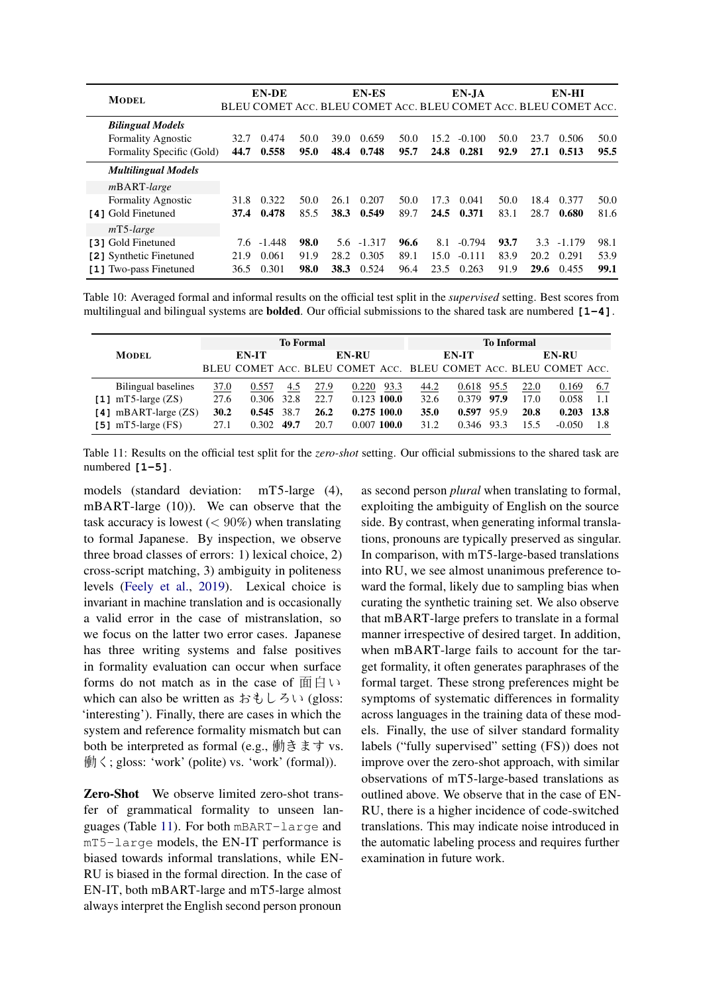<span id="page-7-1"></span>

| <b>MODEL</b>               |      | EN-DE    |      |      | EN-ES                                                           |      |      | EN-JA    |      |      | EN-HI    |      |
|----------------------------|------|----------|------|------|-----------------------------------------------------------------|------|------|----------|------|------|----------|------|
|                            |      |          |      |      | BLEU COMET ACC. BLEU COMET ACC. BLEU COMET ACC. BLEU COMET ACC. |      |      |          |      |      |          |      |
| <b>Bilingual Models</b>    |      |          |      |      |                                                                 |      |      |          |      |      |          |      |
| <b>Formality Agnostic</b>  | 32.7 | 0.474    | 50.0 | 39.O | 0.659                                                           | 50.0 | 15.2 | $-0.100$ | 50.0 | 23.7 | 0.506    | 50.0 |
| Formality Specific (Gold)  | 44.7 | 0.558    | 95.0 | 48.4 | 0.748                                                           | 95.7 | 24.8 | 0.281    | 92.9 | 27.1 | 0.513    | 95.5 |
| <b>Multilingual Models</b> |      |          |      |      |                                                                 |      |      |          |      |      |          |      |
| <i>m</i> BART-large        |      |          |      |      |                                                                 |      |      |          |      |      |          |      |
| <b>Formality Agnostic</b>  | 31.8 | 0.322    | 50.0 | 26.1 | 0.207                                                           | 50.0 | 17.3 | 0.041    | 50.0 | 18.4 | 0.377    | 50.0 |
| [4] Gold Finetuned         | 37.4 | 0.478    | 85.5 | 38.3 | 0.549                                                           | 89.7 | 24.5 | 0.371    | 83.1 | 28.7 | 0.680    | 81.6 |
| $mT5$ -large               |      |          |      |      |                                                                 |      |      |          |      |      |          |      |
| [3] Gold Finetuned         | 7.6  | $-1.448$ | 98.0 | 5.6  | $-1.317$                                                        | 96.6 | 8.1  | $-0.794$ | 93.7 | 3.3  | $-1.179$ | 98.1 |
| [2] Synthetic Finetuned    | 21.9 | 0.061    | 91.9 | 28.2 | 0.305                                                           | 89.1 | 15.0 | $-0.111$ | 83.9 | 20.2 | 0.291    | 53.9 |
| [1] Two-pass Finetuned     | 36.5 | 0.301    | 98.0 | 38.3 | 0.524                                                           | 96.4 | 23.5 | 0.263    | 91.9 | 29.6 | 0.455    | 99.1 |

Table 10: Averaged formal and informal results on the official test split in the *supervised* setting. Best scores from multilingual and bilingual systems are bolded. Our official submissions to the shared task are numbered **[1-4]**.

<span id="page-7-0"></span>

|                           |      |       |      | <b>To Informal</b> |                                                                 |      |      |       |      |      |              |      |
|---------------------------|------|-------|------|--------------------|-----------------------------------------------------------------|------|------|-------|------|------|--------------|------|
| <b>MODEL</b>              |      | EN-IT |      |                    | <b>EN-RU</b>                                                    |      |      | EN-IT |      |      | <b>EN-RU</b> |      |
|                           |      |       |      |                    | BLEU COMET ACC. BLEU COMET ACC. BLEU COMET ACC. BLEU COMET ACC. |      |      |       |      |      |              |      |
| Bilingual baselines       | 37.0 | 0.557 | 4.5  | 27.9               | 0.220                                                           | 93.3 | 44.2 | 0.618 | 95.5 | 22.0 | 0.169        | 6.7  |
| [1] $mT5$ -large $(ZS)$   | 27.6 | 0.306 | 32.8 | 22.7               | $0.123$ 100.0                                                   |      | 32.6 | 0.379 | 97.9 | 17.0 | 0.058        | 1.1  |
| [4] $mBART$ -large $(ZS)$ | 30.2 | 0.545 | 38.7 | 26.2               | 0.275100.0                                                      |      | 35.0 | 0.597 | 95.9 | 20.8 | 0.203        | 13.8 |
| [5] $mT5$ -large (FS)     | 27.1 | 0.302 | 49.7 | 20.7               | $0.007$ 100.0                                                   |      | 31.2 | 0.346 | 93.3 | 155  | $-0.050$     |      |

Table 11: Results on the official test split for the *zero-shot* setting. Our official submissions to the shared task are numbered **[1-5]**.

models (standard deviation: mT5-large (4), mBART-large (10)). We can observe that the task accuracy is lowest  $(< 90\%)$  when translating to formal Japanese. By inspection, we observe three broad classes of errors: 1) lexical choice, 2) cross-script matching, 3) ambiguity in politeness levels [\(Feely et al.,](#page-8-0) [2019\)](#page-8-0). Lexical choice is invariant in machine translation and is occasionally a valid error in the case of mistranslation, so we focus on the latter two error cases. Japanese has three writing systems and false positives in formality evaluation can occur when surface forms do not match as in the case of  $\overline{m} \oplus \vee \overline{m}$ which can also be written as おもしろい (gloss: 'interesting'). Finally, there are cases in which the system and reference formality mismatch but can both be interpreted as formal (e.g., 働きます vs. 働く; gloss: 'work' (polite) vs. 'work' (formal)).

Zero-Shot We observe limited zero-shot transfer of grammatical formality to unseen languages (Table [11\)](#page-7-0). For both mBART-large and mT5-large models, the EN-IT performance is biased towards informal translations, while EN-RU is biased in the formal direction. In the case of EN-IT, both mBART-large and mT5-large almost always interpret the English second person pronoun

as second person *plural* when translating to formal, exploiting the ambiguity of English on the source side. By contrast, when generating informal translations, pronouns are typically preserved as singular. In comparison, with mT5-large-based translations into RU, we see almost unanimous preference toward the formal, likely due to sampling bias when curating the synthetic training set. We also observe that mBART-large prefers to translate in a formal manner irrespective of desired target. In addition, when mBART-large fails to account for the target formality, it often generates paraphrases of the formal target. These strong preferences might be symptoms of systematic differences in formality across languages in the training data of these models. Finally, the use of silver standard formality labels ("fully supervised" setting (FS)) does not improve over the zero-shot approach, with similar observations of mT5-large-based translations as outlined above. We observe that in the case of EN-RU, there is a higher incidence of code-switched translations. This may indicate noise introduced in the automatic labeling process and requires further examination in future work.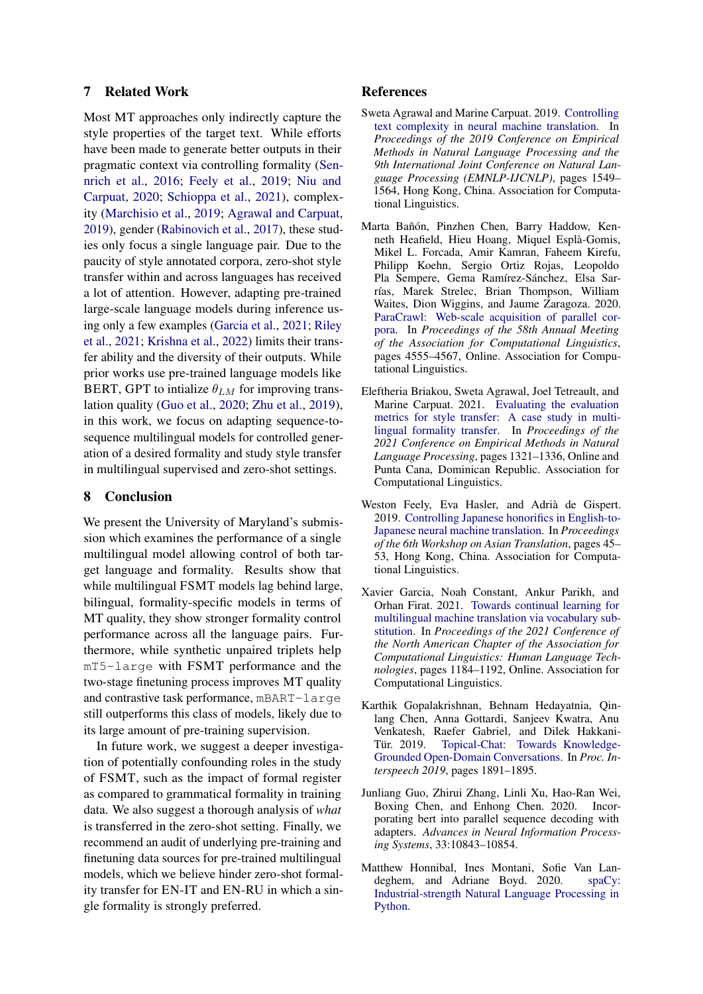# 7 Related Work

Most MT approaches only indirectly capture the style properties of the target text. While efforts have been made to generate better outputs in their pragmatic context via controlling formality [\(Sen](#page-9-1)[nrich et al.,](#page-9-1) [2016;](#page-9-1) [Feely et al.,](#page-8-0) [2019;](#page-8-0) [Niu and](#page-9-4) [Carpuat,](#page-9-4) [2020;](#page-9-4) [Schioppa et al.,](#page-9-2) [2021\)](#page-9-2), complexity [\(Marchisio et al.,](#page-9-16) [2019;](#page-9-16) [Agrawal and Carpuat,](#page-8-6) [2019\)](#page-8-6), gender [\(Rabinovich et al.,](#page-9-17) [2017\)](#page-9-17), these studies only focus a single language pair. Due to the paucity of style annotated corpora, zero-shot style transfer within and across languages has received a lot of attention. However, adapting pre-trained large-scale language models during inference using only a few examples [\(Garcia et al.,](#page-8-2) [2021;](#page-8-2) [Riley](#page-9-7) [et al.,](#page-9-7) [2021;](#page-9-7) [Krishna et al.,](#page-9-8) [2022\)](#page-9-8) limits their transfer ability and the diversity of their outputs. While prior works use pre-trained language models like BERT, GPT to intialize  $\theta_{LM}$  for improving translation quality [\(Guo et al.,](#page-8-7) [2020;](#page-8-7) [Zhu et al.,](#page-10-3) [2019\)](#page-10-3), in this work, we focus on adapting sequence-tosequence multilingual models for controlled generation of a desired formality and study style transfer in multilingual supervised and zero-shot settings.

# 8 Conclusion

We present the University of Maryland's submission which examines the performance of a single multilingual model allowing control of both target language and formality. Results show that while multilingual FSMT models lag behind large, bilingual, formality-specific models in terms of MT quality, they show stronger formality control performance across all the language pairs. Furthermore, while synthetic unpaired triplets help mT5-large with FSMT performance and the two-stage finetuning process improves MT quality and contrastive task performance, mBART-large still outperforms this class of models, likely due to its large amount of pre-training supervision.

In future work, we suggest a deeper investigation of potentially confounding roles in the study of FSMT, such as the impact of formal register as compared to grammatical formality in training data. We also suggest a thorough analysis of *what* is transferred in the zero-shot setting. Finally, we recommend an audit of underlying pre-training and finetuning data sources for pre-trained multilingual models, which we believe hinder zero-shot formality transfer for EN-IT and EN-RU in which a single formality is strongly preferred.

#### References

- <span id="page-8-6"></span>Sweta Agrawal and Marine Carpuat. 2019. [Controlling](https://doi.org/10.18653/v1/D19-1166) [text complexity in neural machine translation.](https://doi.org/10.18653/v1/D19-1166) In *Proceedings of the 2019 Conference on Empirical Methods in Natural Language Processing and the 9th International Joint Conference on Natural Language Processing (EMNLP-IJCNLP)*, pages 1549– 1564, Hong Kong, China. Association for Computational Linguistics.
- <span id="page-8-4"></span>Marta Bañón, Pinzhen Chen, Barry Haddow, Kenneth Heafield, Hieu Hoang, Miquel Esplà-Gomis, Mikel L. Forcada, Amir Kamran, Faheem Kirefu, Philipp Koehn, Sergio Ortiz Rojas, Leopoldo Pla Sempere, Gema Ramírez-Sánchez, Elsa Sarrías, Marek Strelec, Brian Thompson, William Waites, Dion Wiggins, and Jaume Zaragoza. 2020. [ParaCrawl: Web-scale acquisition of parallel cor](https://doi.org/10.18653/v1/2020.acl-main.417)[pora.](https://doi.org/10.18653/v1/2020.acl-main.417) In *Proceedings of the 58th Annual Meeting of the Association for Computational Linguistics*, pages 4555–4567, Online. Association for Computational Linguistics.
- <span id="page-8-5"></span>Eleftheria Briakou, Sweta Agrawal, Joel Tetreault, and Marine Carpuat. 2021. [Evaluating the evaluation](https://doi.org/10.18653/v1/2021.emnlp-main.100) [metrics for style transfer: A case study in multi](https://doi.org/10.18653/v1/2021.emnlp-main.100)[lingual formality transfer.](https://doi.org/10.18653/v1/2021.emnlp-main.100) In *Proceedings of the 2021 Conference on Empirical Methods in Natural Language Processing*, pages 1321–1336, Online and Punta Cana, Dominican Republic. Association for Computational Linguistics.
- <span id="page-8-0"></span>Weston Feely, Eva Hasler, and Adrià de Gispert. 2019. [Controlling Japanese honorifics in English-to-](https://doi.org/10.18653/v1/D19-5203)[Japanese neural machine translation.](https://doi.org/10.18653/v1/D19-5203) In *Proceedings of the 6th Workshop on Asian Translation*, pages 45– 53, Hong Kong, China. Association for Computational Linguistics.
- <span id="page-8-2"></span>Xavier Garcia, Noah Constant, Ankur Parikh, and Orhan Firat. 2021. [Towards continual learning for](https://doi.org/10.18653/v1/2021.naacl-main.93) [multilingual machine translation via vocabulary sub](https://doi.org/10.18653/v1/2021.naacl-main.93)[stitution.](https://doi.org/10.18653/v1/2021.naacl-main.93) In *Proceedings of the 2021 Conference of the North American Chapter of the Association for Computational Linguistics: Human Language Technologies*, pages 1184–1192, Online. Association for Computational Linguistics.
- <span id="page-8-1"></span>Karthik Gopalakrishnan, Behnam Hedayatnia, Qinlang Chen, Anna Gottardi, Sanjeev Kwatra, Anu Venkatesh, Raefer Gabriel, and Dilek Hakkani-Tür. 2019. [Topical-Chat: Towards Knowledge-](https://doi.org/10.21437/Interspeech.2019-3079)[Grounded Open-Domain Conversations.](https://doi.org/10.21437/Interspeech.2019-3079) In *Proc. Interspeech 2019*, pages 1891–1895.
- <span id="page-8-7"></span>Junliang Guo, Zhirui Zhang, Linli Xu, Hao-Ran Wei, Boxing Chen, and Enhong Chen. 2020. Incorporating bert into parallel sequence decoding with adapters. *Advances in Neural Information Processing Systems*, 33:10843–10854.
- <span id="page-8-3"></span>Matthew Honnibal, Ines Montani, Sofie Van Landeghem, and Adriane Boyd. 2020. [spaCy:](https://doi.org/10.5281/zenodo.1212303) [Industrial-strength Natural Language Processing in](https://doi.org/10.5281/zenodo.1212303) [Python.](https://doi.org/10.5281/zenodo.1212303)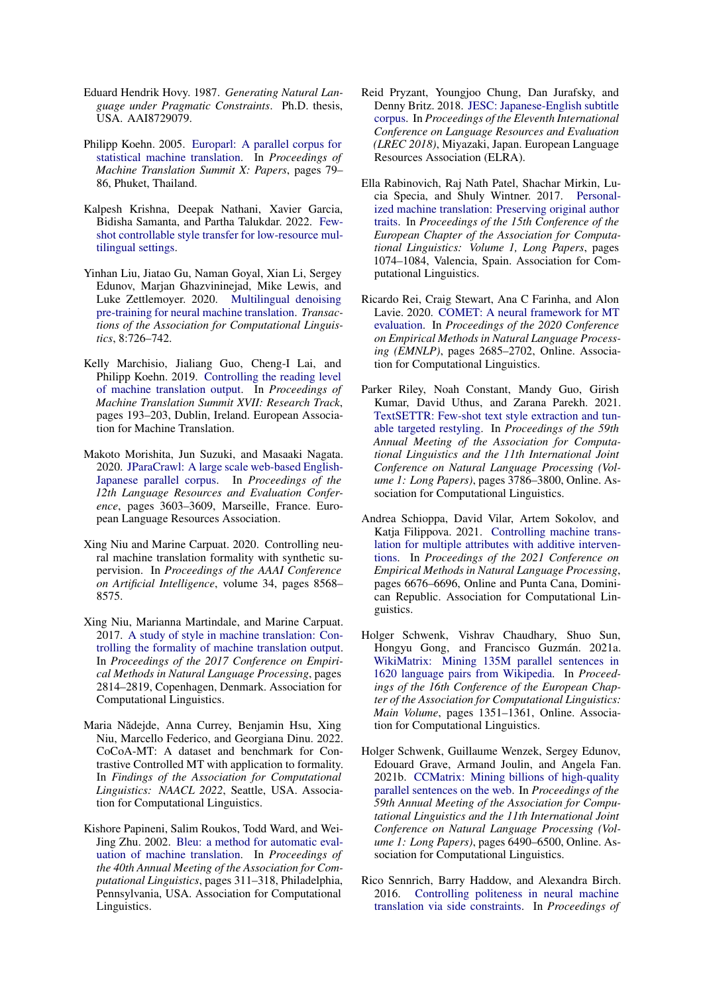- <span id="page-9-0"></span>Eduard Hendrik Hovy. 1987. *Generating Natural Language under Pragmatic Constraints*. Ph.D. thesis, USA. AAI8729079.
- <span id="page-9-13"></span>Philipp Koehn. 2005. [Europarl: A parallel corpus for](https://aclanthology.org/2005.mtsummit-papers.11) [statistical machine translation.](https://aclanthology.org/2005.mtsummit-papers.11) In *Proceedings of Machine Translation Summit X: Papers*, pages 79– 86, Phuket, Thailand.
- <span id="page-9-8"></span>Kalpesh Krishna, Deepak Nathani, Xavier Garcia, Bidisha Samanta, and Partha Talukdar. 2022. [Few](http://arxiv.org/abs/2110.07385)[shot controllable style transfer for low-resource mul](http://arxiv.org/abs/2110.07385)[tilingual settings.](http://arxiv.org/abs/2110.07385)
- <span id="page-9-6"></span>Yinhan Liu, Jiatao Gu, Naman Goyal, Xian Li, Sergey Edunov, Marjan Ghazvininejad, Mike Lewis, and Luke Zettlemoyer. 2020. [Multilingual denoising](https://doi.org/10.1162/tacl_a_00343) [pre-training for neural machine translation.](https://doi.org/10.1162/tacl_a_00343) *Transactions of the Association for Computational Linguistics*, 8:726–742.
- <span id="page-9-16"></span>Kelly Marchisio, Jialiang Guo, Cheng-I Lai, and Philipp Koehn. 2019. [Controlling the reading level](https://aclanthology.org/W19-6619) [of machine translation output.](https://aclanthology.org/W19-6619) In *Proceedings of Machine Translation Summit XVII: Research Track*, pages 193–203, Dublin, Ireland. European Association for Machine Translation.
- <span id="page-9-11"></span>Makoto Morishita, Jun Suzuki, and Masaaki Nagata. 2020. [JParaCrawl: A large scale web-based English-](https://aclanthology.org/2020.lrec-1.443)[Japanese parallel corpus.](https://aclanthology.org/2020.lrec-1.443) In *Proceedings of the 12th Language Resources and Evaluation Conference*, pages 3603–3609, Marseille, France. European Language Resources Association.
- <span id="page-9-4"></span>Xing Niu and Marine Carpuat. 2020. Controlling neural machine translation formality with synthetic supervision. In *Proceedings of the AAAI Conference on Artificial Intelligence*, volume 34, pages 8568– 8575.
- <span id="page-9-3"></span>Xing Niu, Marianna Martindale, and Marine Carpuat. 2017. [A study of style in machine translation: Con](https://doi.org/10.18653/v1/D17-1299)[trolling the formality of machine translation output.](https://doi.org/10.18653/v1/D17-1299) In *Proceedings of the 2017 Conference on Empirical Methods in Natural Language Processing*, pages 2814–2819, Copenhagen, Denmark. Association for Computational Linguistics.
- <span id="page-9-5"></span>Maria Nădejde, Anna Currey, Benjamin Hsu, Xing Niu, Marcello Federico, and Georgiana Dinu. 2022. CoCoA-MT: A dataset and benchmark for Contrastive Controlled MT with application to formality. In *Findings of the Association for Computational Linguistics: NAACL 2022*, Seattle, USA. Association for Computational Linguistics.
- <span id="page-9-9"></span>Kishore Papineni, Salim Roukos, Todd Ward, and Wei-Jing Zhu. 2002. [Bleu: a method for automatic eval](https://doi.org/10.3115/1073083.1073135)[uation of machine translation.](https://doi.org/10.3115/1073083.1073135) In *Proceedings of the 40th Annual Meeting of the Association for Computational Linguistics*, pages 311–318, Philadelphia, Pennsylvania, USA. Association for Computational Linguistics.
- <span id="page-9-15"></span>Reid Pryzant, Youngjoo Chung, Dan Jurafsky, and Denny Britz. 2018. [JESC: Japanese-English subtitle](https://aclanthology.org/L18-1182) [corpus.](https://aclanthology.org/L18-1182) In *Proceedings of the Eleventh International Conference on Language Resources and Evaluation (LREC 2018)*, Miyazaki, Japan. European Language Resources Association (ELRA).
- <span id="page-9-17"></span>Ella Rabinovich, Raj Nath Patel, Shachar Mirkin, Lucia Specia, and Shuly Wintner. 2017. [Personal](https://aclanthology.org/E17-1101)[ized machine translation: Preserving original author](https://aclanthology.org/E17-1101) [traits.](https://aclanthology.org/E17-1101) In *Proceedings of the 15th Conference of the European Chapter of the Association for Computational Linguistics: Volume 1, Long Papers*, pages 1074–1084, Valencia, Spain. Association for Computational Linguistics.
- <span id="page-9-10"></span>Ricardo Rei, Craig Stewart, Ana C Farinha, and Alon Lavie. 2020. [COMET: A neural framework for MT](https://doi.org/10.18653/v1/2020.emnlp-main.213) [evaluation.](https://doi.org/10.18653/v1/2020.emnlp-main.213) In *Proceedings of the 2020 Conference on Empirical Methods in Natural Language Processing (EMNLP)*, pages 2685–2702, Online. Association for Computational Linguistics.
- <span id="page-9-7"></span>Parker Riley, Noah Constant, Mandy Guo, Girish Kumar, David Uthus, and Zarana Parekh. 2021. [TextSETTR: Few-shot text style extraction and tun](https://doi.org/10.18653/v1/2021.acl-long.293)[able targeted restyling.](https://doi.org/10.18653/v1/2021.acl-long.293) In *Proceedings of the 59th Annual Meeting of the Association for Computational Linguistics and the 11th International Joint Conference on Natural Language Processing (Volume 1: Long Papers)*, pages 3786–3800, Online. Association for Computational Linguistics.
- <span id="page-9-2"></span>Andrea Schioppa, David Vilar, Artem Sokolov, and Katja Filippova. 2021. [Controlling machine trans](https://doi.org/10.18653/v1/2021.emnlp-main.535)[lation for multiple attributes with additive interven](https://doi.org/10.18653/v1/2021.emnlp-main.535)[tions.](https://doi.org/10.18653/v1/2021.emnlp-main.535) In *Proceedings of the 2021 Conference on Empirical Methods in Natural Language Processing*, pages 6676–6696, Online and Punta Cana, Dominican Republic. Association for Computational Linguistics.
- <span id="page-9-14"></span>Holger Schwenk, Vishrav Chaudhary, Shuo Sun, Hongyu Gong, and Francisco Guzmán. 2021a. [WikiMatrix: Mining 135M parallel sentences in](https://doi.org/10.18653/v1/2021.eacl-main.115) [1620 language pairs from Wikipedia.](https://doi.org/10.18653/v1/2021.eacl-main.115) In *Proceedings of the 16th Conference of the European Chapter of the Association for Computational Linguistics: Main Volume*, pages 1351–1361, Online. Association for Computational Linguistics.
- <span id="page-9-12"></span>Holger Schwenk, Guillaume Wenzek, Sergey Edunov, Edouard Grave, Armand Joulin, and Angela Fan. 2021b. [CCMatrix: Mining billions of high-quality](https://doi.org/10.18653/v1/2021.acl-long.507) [parallel sentences on the web.](https://doi.org/10.18653/v1/2021.acl-long.507) In *Proceedings of the 59th Annual Meeting of the Association for Computational Linguistics and the 11th International Joint Conference on Natural Language Processing (Volume 1: Long Papers)*, pages 6490–6500, Online. Association for Computational Linguistics.
- <span id="page-9-1"></span>Rico Sennrich, Barry Haddow, and Alexandra Birch. 2016. [Controlling politeness in neural machine](https://doi.org/10.18653/v1/N16-1005) [translation via side constraints.](https://doi.org/10.18653/v1/N16-1005) In *Proceedings of*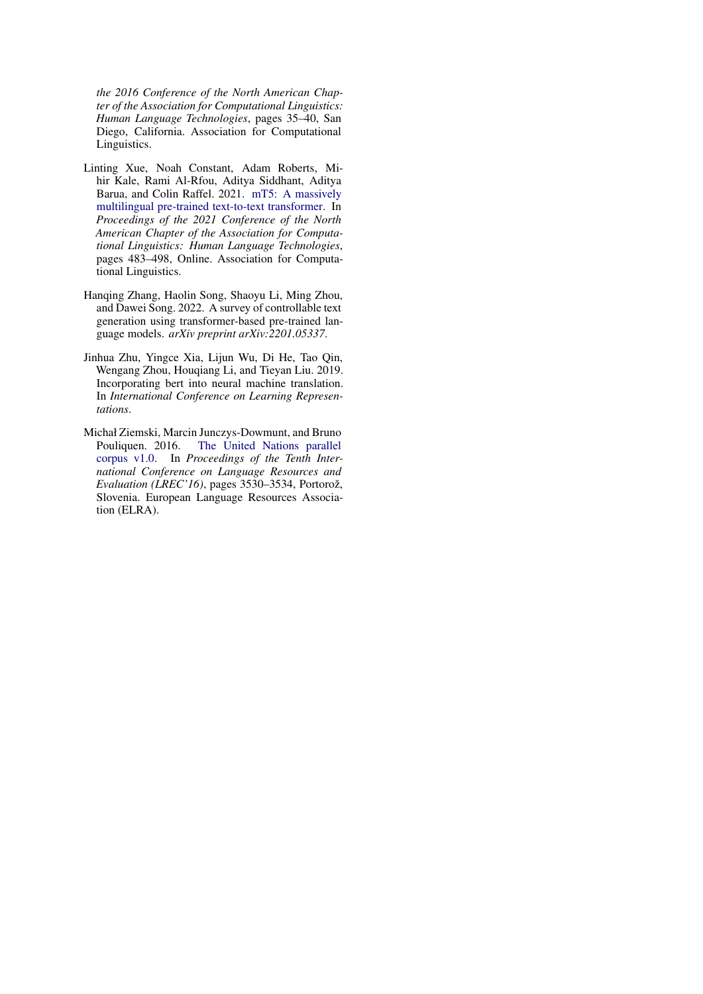*the 2016 Conference of the North American Chapter of the Association for Computational Linguistics: Human Language Technologies*, pages 35–40, San Diego, California. Association for Computational Linguistics.

- <span id="page-10-0"></span>Linting Xue, Noah Constant, Adam Roberts, Mihir Kale, Rami Al-Rfou, Aditya Siddhant, Aditya Barua, and Colin Raffel. 2021. [mT5: A massively](https://doi.org/10.18653/v1/2021.naacl-main.41) [multilingual pre-trained text-to-text transformer.](https://doi.org/10.18653/v1/2021.naacl-main.41) In *Proceedings of the 2021 Conference of the North American Chapter of the Association for Computational Linguistics: Human Language Technologies*, pages 483–498, Online. Association for Computational Linguistics.
- <span id="page-10-1"></span>Hanqing Zhang, Haolin Song, Shaoyu Li, Ming Zhou, and Dawei Song. 2022. A survey of controllable text generation using transformer-based pre-trained language models. *arXiv preprint arXiv:2201.05337*.
- <span id="page-10-3"></span>Jinhua Zhu, Yingce Xia, Lijun Wu, Di He, Tao Qin, Wengang Zhou, Houqiang Li, and Tieyan Liu. 2019. Incorporating bert into neural machine translation. In *International Conference on Learning Representations*.
- <span id="page-10-2"></span>Michał Ziemski, Marcin Junczys-Dowmunt, and Bruno Pouliquen. 2016. [The United Nations parallel](https://aclanthology.org/L16-1561) [corpus v1.0.](https://aclanthology.org/L16-1561) In *Proceedings of the Tenth International Conference on Language Resources and Evaluation (LREC'16)*, pages 3530–3534, Portorož, Slovenia. European Language Resources Association (ELRA).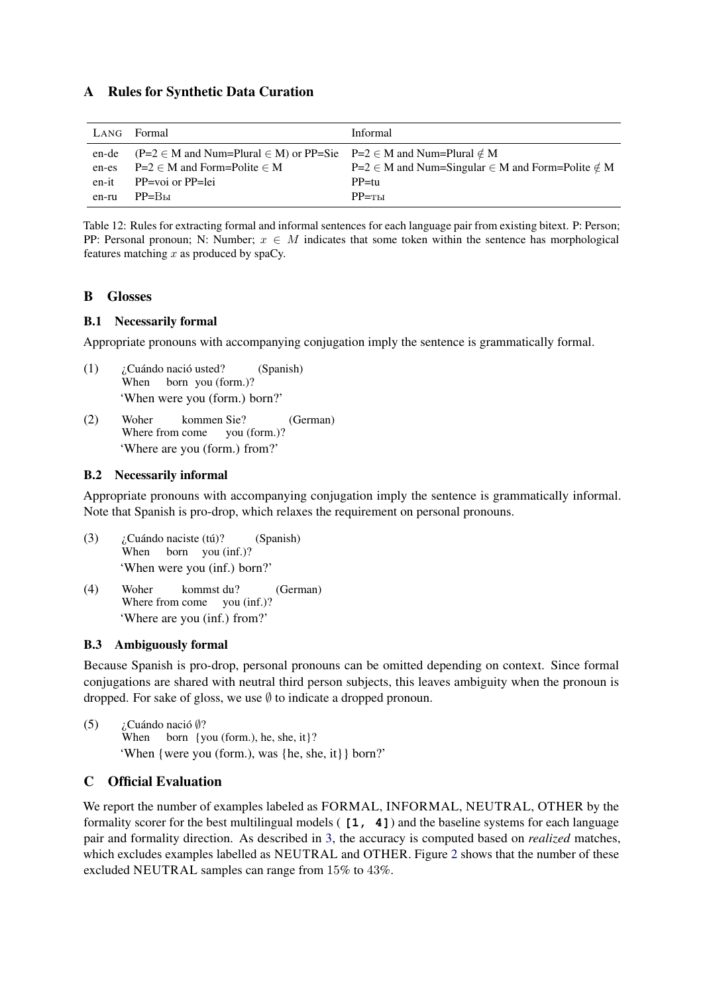# A Rules for Synthetic Data Curation

<span id="page-11-1"></span>

| LANG  | Formal                                                                                           | <b>Informal</b>                                                 |
|-------|--------------------------------------------------------------------------------------------------|-----------------------------------------------------------------|
| en-de | $(P=2 \in M \text{ and Num-Plural} \in M)$ or PP=Sie $P=2 \in M \text{ and Num-Plural} \notin M$ |                                                                 |
| en-es | $P=2 \in M$ and Form=Polite $\in M$                                                              | $P=2 \in M$ and Num=Singular $\in M$ and Form=Polite $\notin M$ |
| en-it | $PP = \text{voi}$ or $PP = \text{lei}$                                                           | $PP=111$                                                        |
| en-ru | $PP = Bbl$                                                                                       | $PP = T_{\rm{b}}$                                               |

Table 12: Rules for extracting formal and informal sentences for each language pair from existing bitext. P: Person; PP: Personal pronoun; N: Number;  $x \in M$  indicates that some token within the sentence has morphological features matching  $x$  as produced by spaCy.

# <span id="page-11-0"></span>B Glosses

## B.1 Necessarily formal

Appropriate pronouns with accompanying conjugation imply the sentence is grammatically formal.

- (1) ¿Cuándo nació usted? When born you (form.)? (Spanish) 'When were you (form.) born?'
- (2) Woher Where from come kommen Sie? you (form.)? (German) 'Where are you (form.) from?'

## B.2 Necessarily informal

Appropriate pronouns with accompanying conjugation imply the sentence is grammatically informal. Note that Spanish is pro-drop, which relaxes the requirement on personal pronouns.

- (3) ¿Cuándo naciste (tú)? When born you (inf.)? (Spanish) 'When were you (inf.) born?'
- (4) Woher Where from come you (inf.)? kommst du? (German) 'Where are you (inf.) from?'

# B.3 Ambiguously formal

Because Spanish is pro-drop, personal pronouns can be omitted depending on context. Since formal conjugations are shared with neutral third person subjects, this leaves ambiguity when the pronoun is dropped. For sake of gloss, we use  $\emptyset$  to indicate a dropped pronoun.

(5)  $i$ Cuándo nació  $\emptyset$ ? When born {you (form.), he, she, it}? 'When {were you (form.), was {he, she, it}} born?'

# <span id="page-11-2"></span>C Official Evaluation

We report the number of examples labeled as FORMAL, INFORMAL, NEUTRAL, OTHER by the formality scorer for the best multilingual models ( **[1, 4]**) and the baseline systems for each language pair and formality direction. As described in [3,](#page-2-3) the accuracy is computed based on *realized* matches, which excludes examples labelled as NEUTRAL and OTHER. Figure [2](#page-13-0) shows that the number of these excluded NEUTRAL samples can range from 15% to 43%.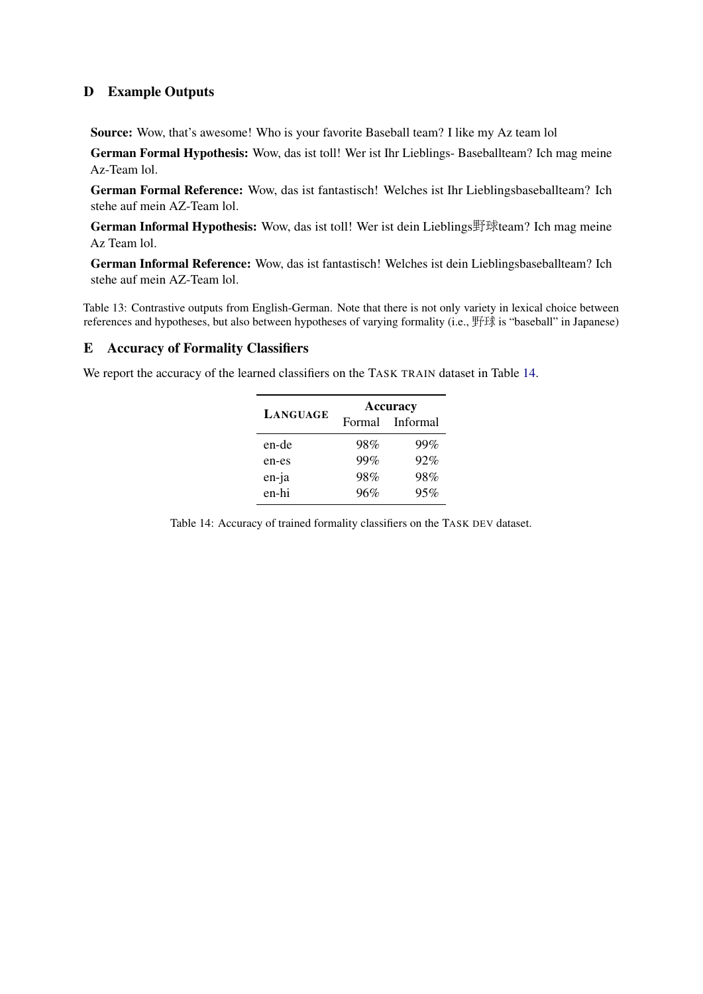# D Example Outputs

<span id="page-12-1"></span>Source: Wow, that's awesome! Who is your favorite Baseball team? I like my Az team lol

German Formal Hypothesis: Wow, das ist toll! Wer ist Ihr Lieblings- Baseballteam? Ich mag meine Az-Team lol.

German Formal Reference: Wow, das ist fantastisch! Welches ist Ihr Lieblingsbaseballteam? Ich stehe auf mein AZ-Team lol.

German Informal Hypothesis: Wow, das ist toll! Wer ist dein Lieblings野球team? Ich mag meine Az Team lol.

German Informal Reference: Wow, das ist fantastisch! Welches ist dein Lieblingsbaseballteam? Ich stehe auf mein AZ-Team lol.

Table 13: Contrastive outputs from English-German. Note that there is not only variety in lexical choice between references and hypotheses, but also between hypotheses of varying formality (i.e., 野球 is "baseball" in Japanese)

# E Accuracy of Formality Classifiers

<span id="page-12-0"></span>We report the accuracy of the learned classifiers on the TASK TRAIN dataset in Table [14.](#page-12-0)

|          | <b>Accuracy</b> |                 |  |  |  |  |  |
|----------|-----------------|-----------------|--|--|--|--|--|
| LANGUAGE |                 | Formal Informal |  |  |  |  |  |
| en-de    | 98%             | 99%             |  |  |  |  |  |
| en-es    | 99%             | 92%             |  |  |  |  |  |
| en-ja    | 98%             | 98%             |  |  |  |  |  |
| en-hi    | 96%             | 95%             |  |  |  |  |  |

Table 14: Accuracy of trained formality classifiers on the TASK DEV dataset.